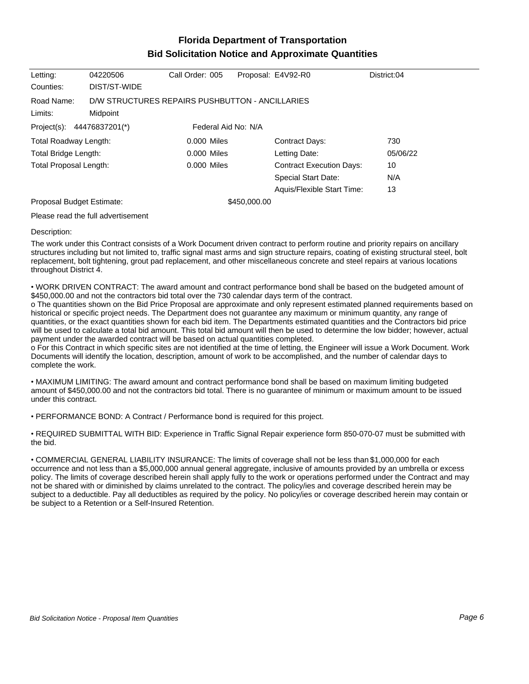## **Florida Department of Transportation Bid Solicitation Notice and Approximate Quantities**

| Letting:                   | 04220506                                        | Call Order: 005     |              | Proposal: E4V92-R0              | District:04 |
|----------------------------|-------------------------------------------------|---------------------|--------------|---------------------------------|-------------|
| Counties:                  | DIST/ST-WIDE                                    |                     |              |                                 |             |
| Road Name:                 | D/W STRUCTURES REPAIRS PUSHBUTTON - ANCILLARIES |                     |              |                                 |             |
| Limits:                    | Midpoint                                        |                     |              |                                 |             |
| Project(s): 44476837201(*) |                                                 | Federal Aid No: N/A |              |                                 |             |
| Total Roadway Length:      |                                                 | $0.000$ Miles       |              | <b>Contract Days:</b>           | 730         |
| Total Bridge Length:       |                                                 | 0.000 Miles         |              | Letting Date:                   | 05/06/22    |
| Total Proposal Length:     |                                                 | 0.000 Miles         |              | <b>Contract Execution Days:</b> | 10          |
|                            |                                                 |                     |              | <b>Special Start Date:</b>      | N/A         |
|                            |                                                 |                     |              | Aquis/Flexible Start Time:      | 13          |
| Proposal Budget Estimate:  |                                                 |                     | \$450,000.00 |                                 |             |
|                            |                                                 |                     |              |                                 |             |

Please read the full advertisement

## Description:

The work under this Contract consists of a Work Document driven contract to perform routine and priority repairs on ancillary structures including but not limited to, traffic signal mast arms and sign structure repairs, coating of existing structural steel, bolt replacement, bolt tightening, grout pad replacement, and other miscellaneous concrete and steel repairs at various locations throughout District 4.

WORK DRIVEN CONTRACT: The award amount and contract performance bond shall be based on the budgeted amount of \$450,000.00 and not the contractors bid total over the 730 calendar days term of the contract.

o The quantities shown on the Bid Price Proposal are approximate and only represent estimated planned requirements based on historical or specific project needs. The Department does not guarantee any maximum or minimum quantity, any range of quantities, or the exact quantities shown for each bid item. The Departments estimated quantities and the Contractors bid price will be used to calculate a total bid amount. This total bid amount will then be used to determine the low bidder; however, actual payment under the awarded contract will be based on actual quantities completed.

o For this Contract in which specific sites are not identified at the time of letting, the Engineer will issue a Work Document. Work Documents will identify the location, description, amount of work to be accomplished, and the number of calendar days to complete the work.

MAXIMUM LIMITING: The award amount and contract performance bond shall be based on maximum limiting budgeted amount of \$450,000.00 and not the contractors bid total. There is no guarantee of minimum or maximum amount to be issued under this contract.

PERFORMANCE BOND: A Contract / Performance bond is required for this project.

REQUIRED SUBMITTAL WITH BID: Experience in Traffic Signal Repair experience form 850-070-07 must be submitted with the bid.

COMMERCIAL GENERAL LIABILITY INSURANCE: The limits of coverage shall not be less than \$1,000,000 for each occurrence and not less than a \$5,000,000 annual general aggregate, inclusive of amounts provided by an umbrella or excess policy. The limits of coverage described herein shall apply fully to the work or operations performed under the Contract and may not be shared with or diminished by claims unrelated to the contract. The policy/ies and coverage described herein may be subject to a deductible. Pay all deductibles as required by the policy. No policy/ies or coverage described herein may contain or be subject to a Retention or a Self-Insured Retention.